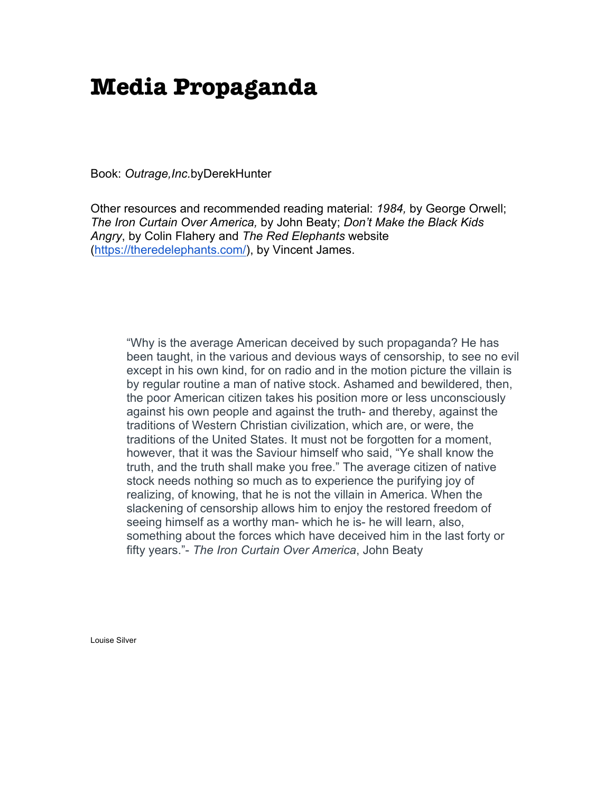## **Media Propaganda**

Book: *Outrage,Inc.*byDerekHunter

Other resources and recommended reading material: *1984,* by George Orwell; *The Iron Curtain Over America,* by John Beaty; *Don't Make the Black Kids Angry*, by Colin Flahery and *The Red Elephants* website (https://theredelephants.com/), by Vincent James.

"Why is the average American deceived by such propaganda? He has been taught, in the various and devious ways of censorship, to see no evil except in his own kind, for on radio and in the motion picture the villain is by regular routine a man of native stock. Ashamed and bewildered, then, the poor American citizen takes his position more or less unconsciously against his own people and against the truth- and thereby, against the traditions of Western Christian civilization, which are, or were, the traditions of the United States. It must not be forgotten for a moment, however, that it was the Saviour himself who said, "Ye shall know the truth, and the truth shall make you free." The average citizen of native stock needs nothing so much as to experience the purifying joy of realizing, of knowing, that he is not the villain in America. When the slackening of censorship allows him to enjoy the restored freedom of seeing himself as a worthy man- which he is- he will learn, also, something about the forces which have deceived him in the last forty or fifty years."- *The Iron Curtain Over America*, John Beaty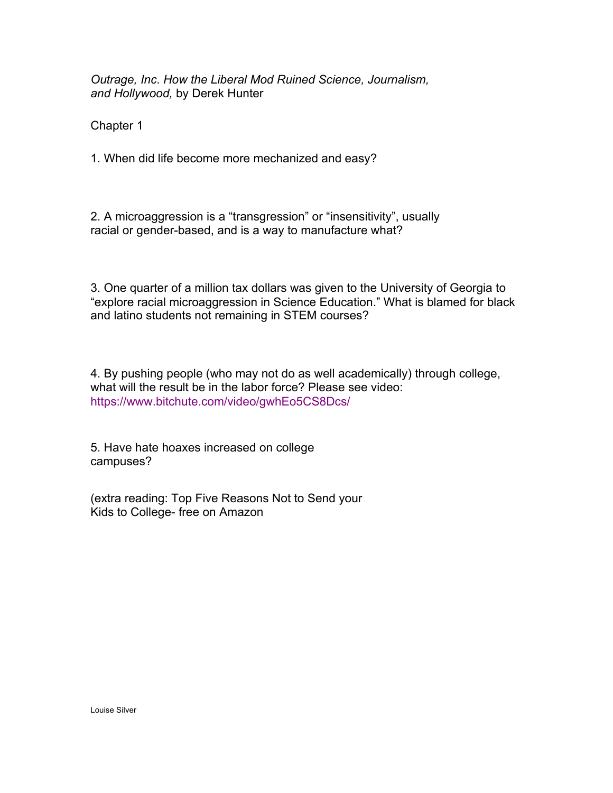*Outrage, Inc*. *How the Liberal Mod Ruined Science, Journalism, and Hollywood,* by Derek Hunter

Chapter 1

1. When did life become more mechanized and easy?

2. A microaggression is a "transgression" or "insensitivity", usually racial or gender-based, and is a way to manufacture what?

3. One quarter of a million tax dollars was given to the University of Georgia to "explore racial microaggression in Science Education." What is blamed for black and latino students not remaining in STEM courses?

4. By pushing people (who may not do as well academically) through college, what will the result be in the labor force? Please see video: https://www.bitchute.com/video/gwhEo5CS8Dcs/

5. Have hate hoaxes increased on college campuses?

(extra reading: Top Five Reasons Not to Send your Kids to College- free on Amazon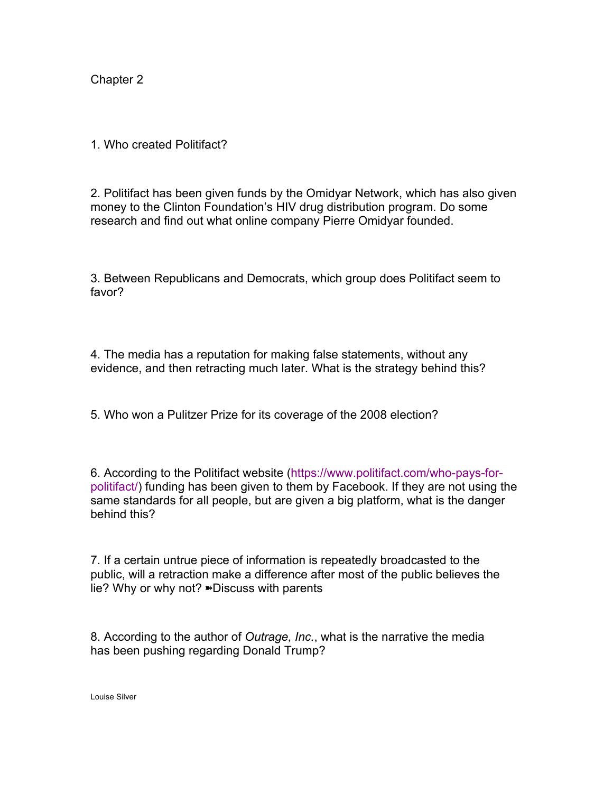1. Who created Politifact?

2. Politifact has been given funds by the Omidyar Network, which has also given money to the Clinton Foundation's HIV drug distribution program. Do some research and find out what online company Pierre Omidyar founded.

3. Between Republicans and Democrats, which group does Politifact seem to favor?

4. The media has a reputation for making false statements, without any evidence, and then retracting much later. What is the strategy behind this?

5. Who won a Pulitzer Prize for its coverage of the 2008 election?

6. According to the Politifact website (https://www.politifact.com/who-pays-forpolitifact/) funding has been given to them by Facebook. If they are not using the same standards for all people, but are given a big platform, what is the danger behind this?

7. If a certain untrue piece of information is repeatedly broadcasted to the public, will a retraction make a difference after most of the public believes the lie? Why or why not? ➽Discuss with parents

8. According to the author of *Outrage, Inc.*, what is the narrative the media has been pushing regarding Donald Trump?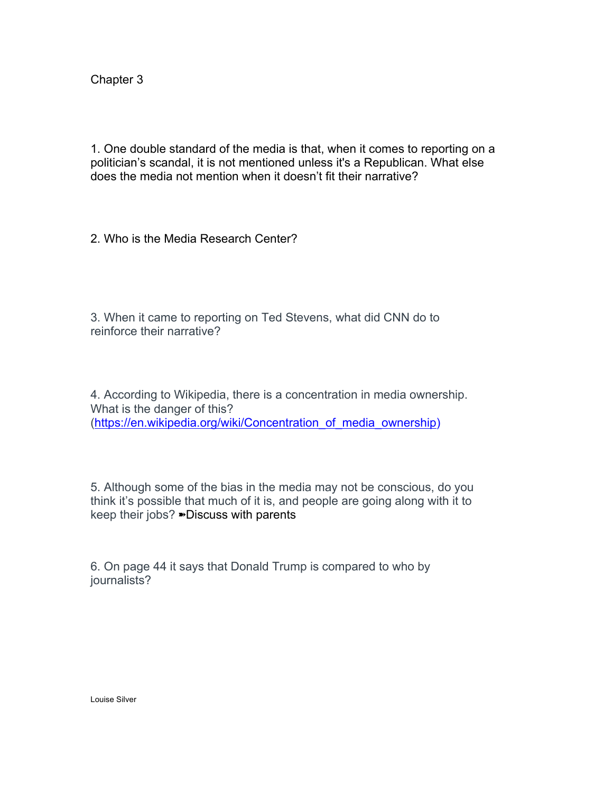1. One double standard of the media is that, when it comes to reporting on a politician's scandal, it is not mentioned unless it's a Republican. What else does the media not mention when it doesn't fit their narrative?

2. Who is the Media Research Center?

3. When it came to reporting on Ted Stevens, what did CNN do to reinforce their narrative?

4. According to Wikipedia, there is a concentration in media ownership. What is the danger of this? (https://en.wikipedia.org/wiki/Concentration of media ownership)

5. Although some of the bias in the media may not be conscious, do you think it's possible that much of it is, and people are going along with it to keep their jobs? ➽Discuss with parents

6. On page 44 it says that Donald Trump is compared to who by journalists?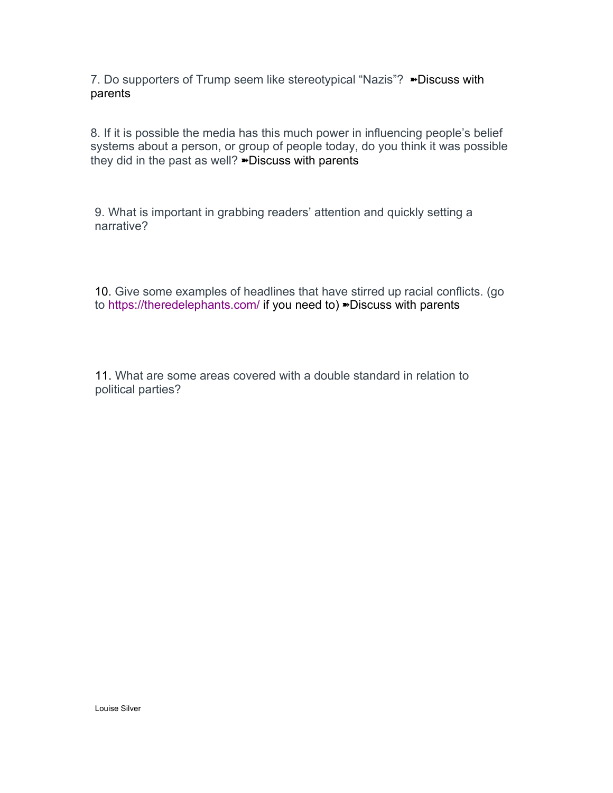7. Do supporters of Trump seem like stereotypical "Nazis"? ➽Discuss with parents

8. If it is possible the media has this much power in influencing people's belief systems about a person, or group of people today, do you think it was possible they did in the past as well? <sup>»</sup>Discuss with parents

9. What is important in grabbing readers' attention and quickly setting a narrative?

10. Give some examples of headlines that have stirred up racial conflicts. (go to https://theredelephants.com/ if you need to) ➽Discuss with parents

11. What are some areas covered with a double standard in relation to political parties?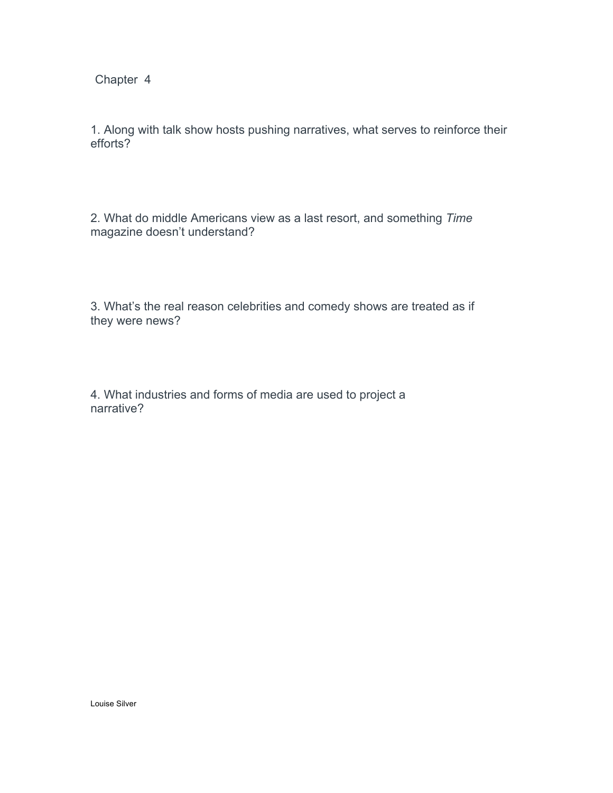1. Along with talk show hosts pushing narratives, what serves to reinforce their efforts?

2. What do middle Americans view as a last resort, and something *Time* magazine doesn't understand?

3. What's the real reason celebrities and comedy shows are treated as if they were news?

4. What industries and forms of media are used to project a narrative?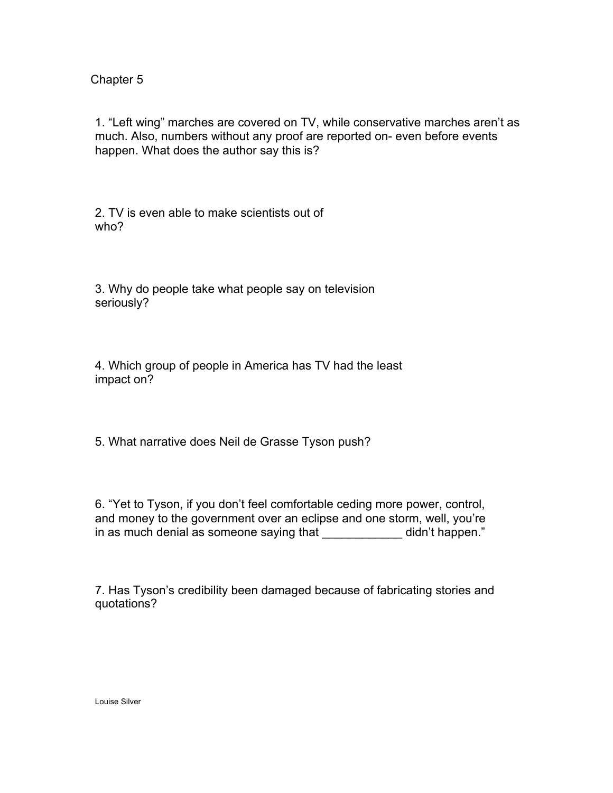1. "Left wing" marches are covered on TV, while conservative marches aren't as much. Also, numbers without any proof are reported on- even before events happen. What does the author say this is?

2. TV is even able to make scientists out of who?

3. Why do people take what people say on television seriously?

4. Which group of people in America has TV had the least impact on?

5. What narrative does Neil de Grasse Tyson push?

6. "Yet to Tyson, if you don't feel comfortable ceding more power, control, and money to the government over an eclipse and one storm, well, you're in as much denial as someone saying that \_\_\_\_\_\_\_\_\_\_\_\_ didn't happen."

7. Has Tyson's credibility been damaged because of fabricating stories and quotations?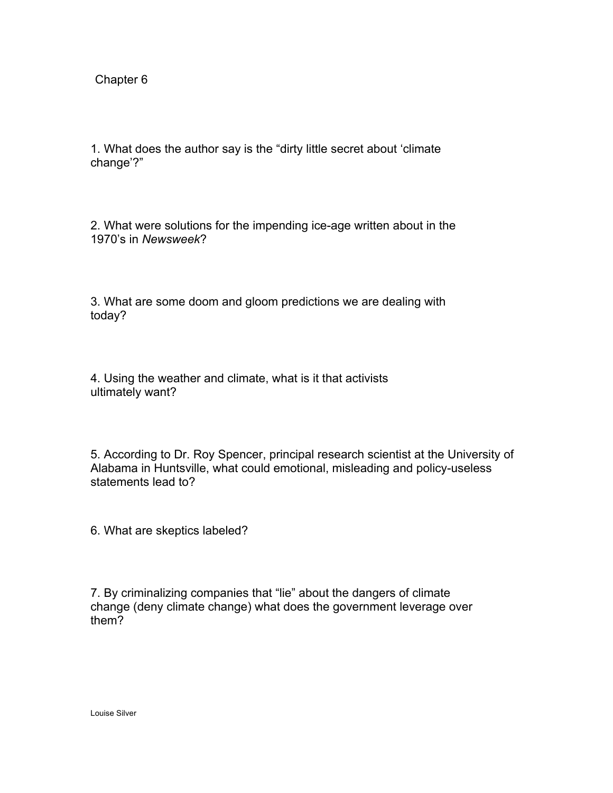1. What does the author say is the "dirty little secret about 'climate change'?"

2. What were solutions for the impending ice-age written about in the 1970's in *Newsweek*?

3. What are some doom and gloom predictions we are dealing with today?

4. Using the weather and climate, what is it that activists ultimately want?

5. According to Dr. Roy Spencer, principal research scientist at the University of Alabama in Huntsville, what could emotional, misleading and policy-useless statements lead to?

6. What are skeptics labeled?

7. By criminalizing companies that "lie" about the dangers of climate change (deny climate change) what does the government leverage over them?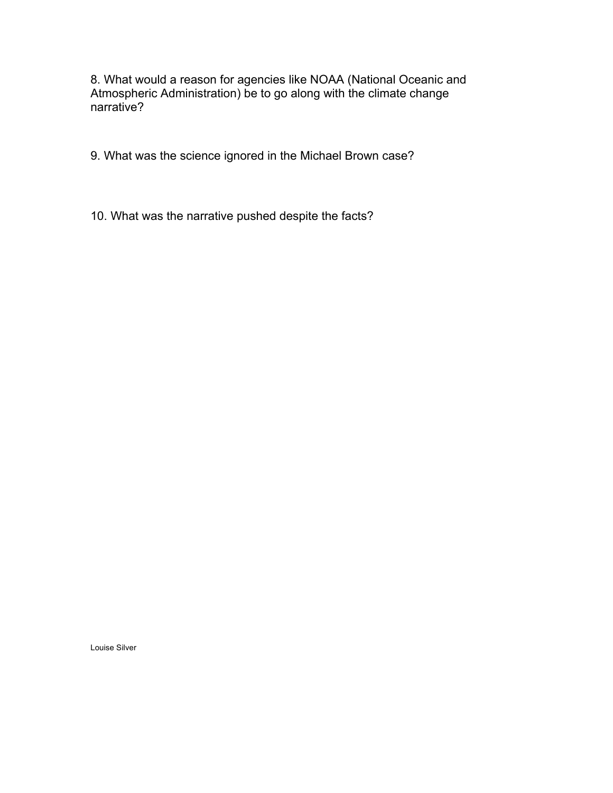8. What would a reason for agencies like NOAA (National Oceanic and Atmospheric Administration) be to go along with the climate change narrative?

9. What was the science ignored in the Michael Brown case?

10. What was the narrative pushed despite the facts?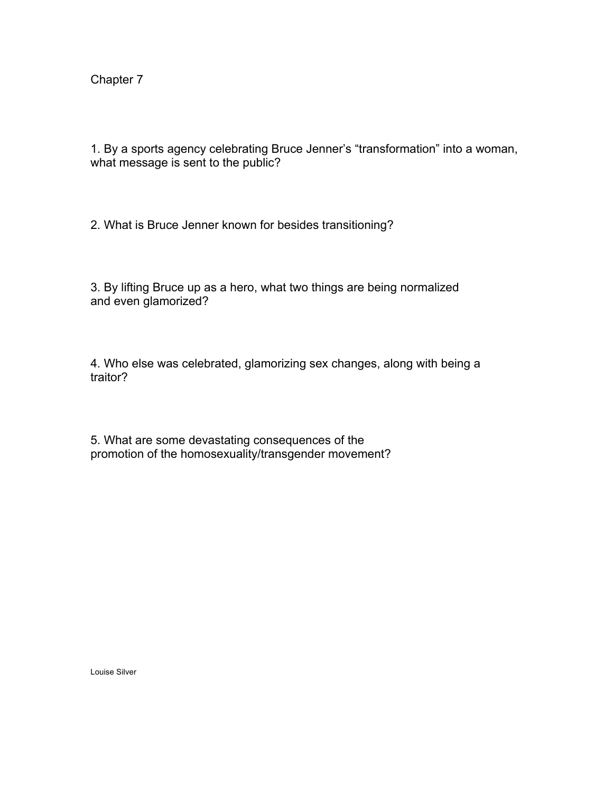1. By a sports agency celebrating Bruce Jenner's "transformation" into a woman, what message is sent to the public?

2. What is Bruce Jenner known for besides transitioning?

3. By lifting Bruce up as a hero, what two things are being normalized and even glamorized?

4. Who else was celebrated, glamorizing sex changes, along with being a traitor?

5. What are some devastating consequences of the promotion of the homosexuality/transgender movement?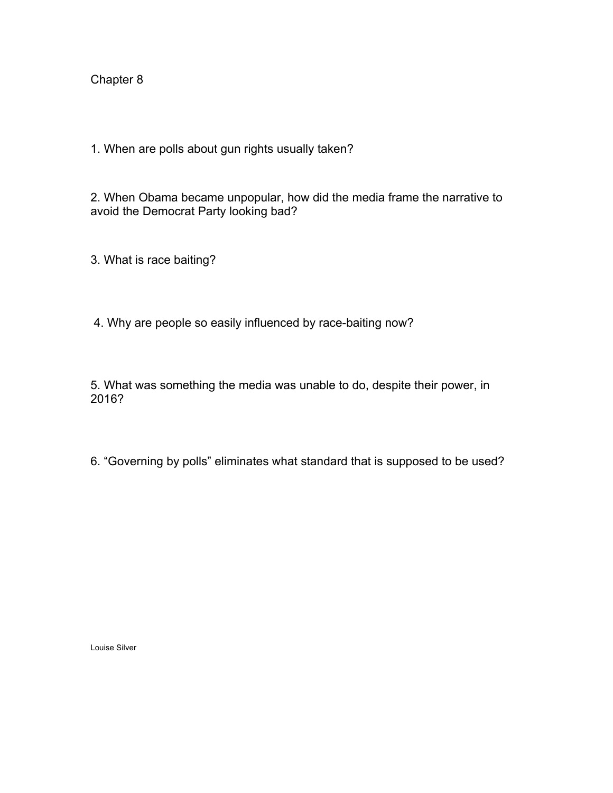1. When are polls about gun rights usually taken?

2. When Obama became unpopular, how did the media frame the narrative to avoid the Democrat Party looking bad?

3. What is race baiting?

4. Why are people so easily influenced by race-baiting now?

5. What was something the media was unable to do, despite their power, in 2016?

6. "Governing by polls" eliminates what standard that is supposed to be used?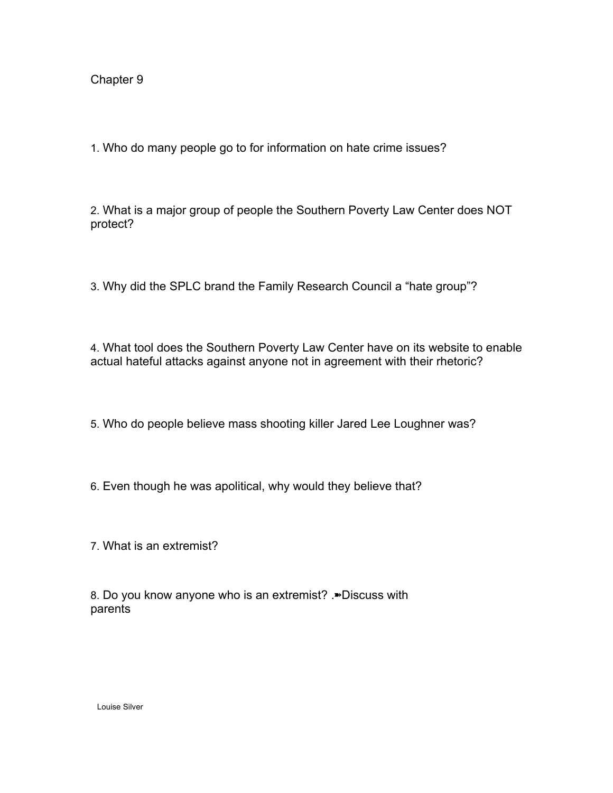1. Who do many people go to for information on hate crime issues?

2. What is a major group of people the Southern Poverty Law Center does NOT protect?

3. Why did the SPLC brand the Family Research Council a "hate group"?

4. What tool does the Southern Poverty Law Center have on its website to enable actual hateful attacks against anyone not in agreement with their rhetoric?

5. Who do people believe mass shooting killer Jared Lee Loughner was?

- 6. Even though he was apolitical, why would they believe that?
- 7. What is an extremist?

8. Do you know anyone who is an extremist? .➽Discuss with parents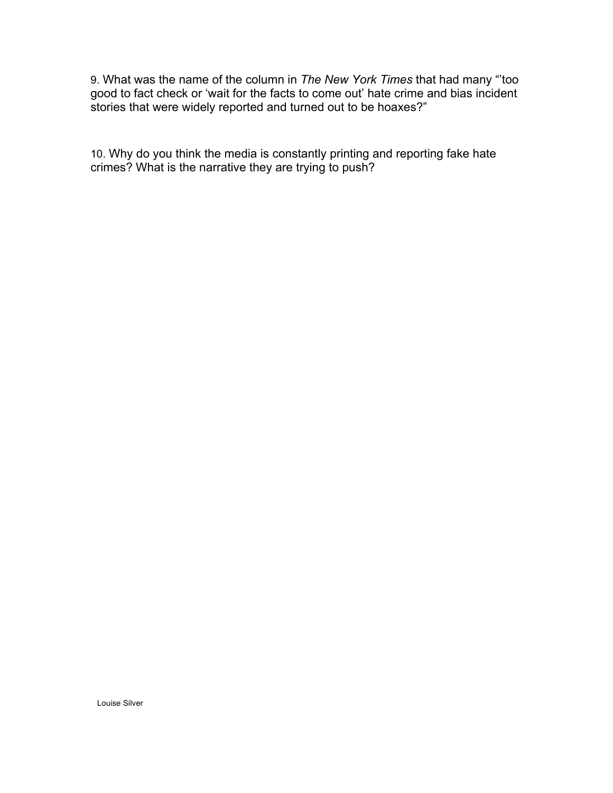9. What was the name of the column in *The New York Times* that had many "'too good to fact check or 'wait for the facts to come out' hate crime and bias incident stories that were widely reported and turned out to be hoaxes?"

10. Why do you think the media is constantly printing and reporting fake hate crimes? What is the narrative they are trying to push?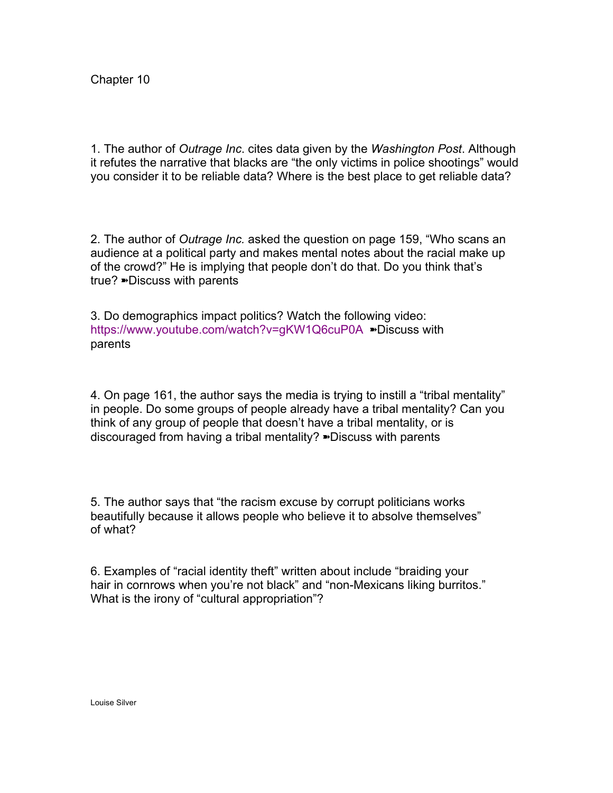1. The author of *Outrage Inc*. cites data given by the *Washington Post*. Although it refutes the narrative that blacks are "the only victims in police shootings" would you consider it to be reliable data? Where is the best place to get reliable data?

2. The author of *Outrage Inc.* asked the question on page 159, "Who scans an audience at a political party and makes mental notes about the racial make up of the crowd?" He is implying that people don't do that. Do you think that's true? ➽Discuss with parents

3. Do demographics impact politics? Watch the following video: https://www.youtube.com/watch?v=gKW1Q6cuP0A ➽Discuss with parents

4. On page 161, the author says the media is trying to instill a "tribal mentality" in people. Do some groups of people already have a tribal mentality? Can you think of any group of people that doesn't have a tribal mentality, or is discouraged from having a tribal mentality? ➽Discuss with parents

5. The author says that "the racism excuse by corrupt politicians works beautifully because it allows people who believe it to absolve themselves" of what?

6. Examples of "racial identity theft" written about include "braiding your hair in cornrows when you're not black" and "non-Mexicans liking burritos." What is the irony of "cultural appropriation"?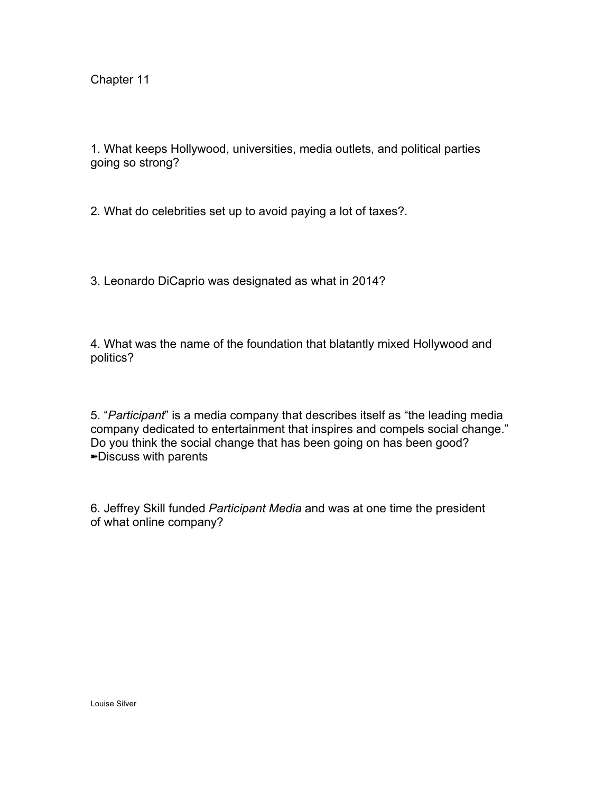1. What keeps Hollywood, universities, media outlets, and political parties going so strong?

2. What do celebrities set up to avoid paying a lot of taxes?.

3. Leonardo DiCaprio was designated as what in 2014?

4. What was the name of the foundation that blatantly mixed Hollywood and politics?

5. "*Participant*" is a media company that describes itself as "the leading media company dedicated to entertainment that inspires and compels social change." Do you think the social change that has been going on has been good? ➽Discuss with parents

6. Jeffrey Skill funded *Participant Media* and was at one time the president of what online company?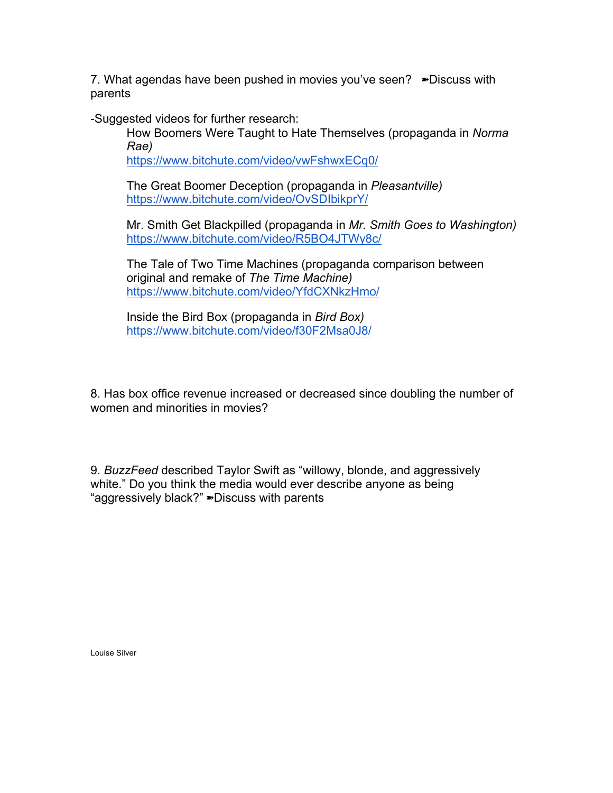7. What agendas have been pushed in movies you've seen? ➽Discuss with parents

-Suggested videos for further research:

How Boomers Were Taught to Hate Themselves (propaganda in *Norma Rae)*

https://www.bitchute.com/video/vwFshwxECq0/

The Great Boomer Deception (propaganda in *Pleasantville)* https://www.bitchute.com/video/OvSDIbikprY/

Mr. Smith Get Blackpilled (propaganda in *Mr. Smith Goes to Washington)* https://www.bitchute.com/video/R5BO4JTWy8c/

The Tale of Two Time Machines (propaganda comparison between original and remake of *The Time Machine)* https://www.bitchute.com/video/YfdCXNkzHmo/

Inside the Bird Box (propaganda in *Bird Box)* https://www.bitchute.com/video/f30F2Msa0J8/

8. Has box office revenue increased or decreased since doubling the number of women and minorities in movies?

9. *BuzzFeed* described Taylor Swift as "willowy, blonde, and aggressively white." Do you think the media would ever describe anyone as being "aggressively black?" ➽Discuss with parents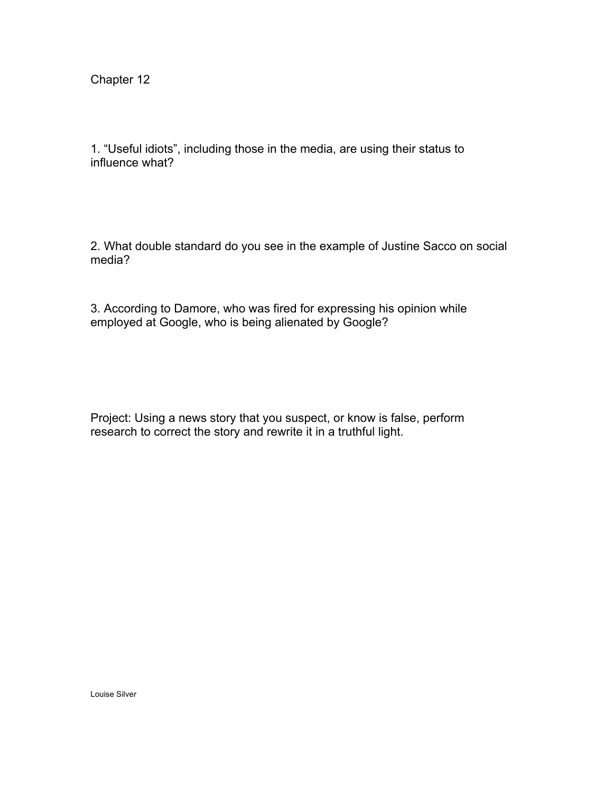1. "Useful idiots", including those in the media, are using their status to influence what?

2. What double standard do you see in the example of Justine Sacco on social media?

3. According to Damore, who was fired for expressing his opinion while employed at Google, who is being alienated by Google?

Project: Using a news story that you suspect, or know is false, perform research to correct the story and rewrite it in a truthful light.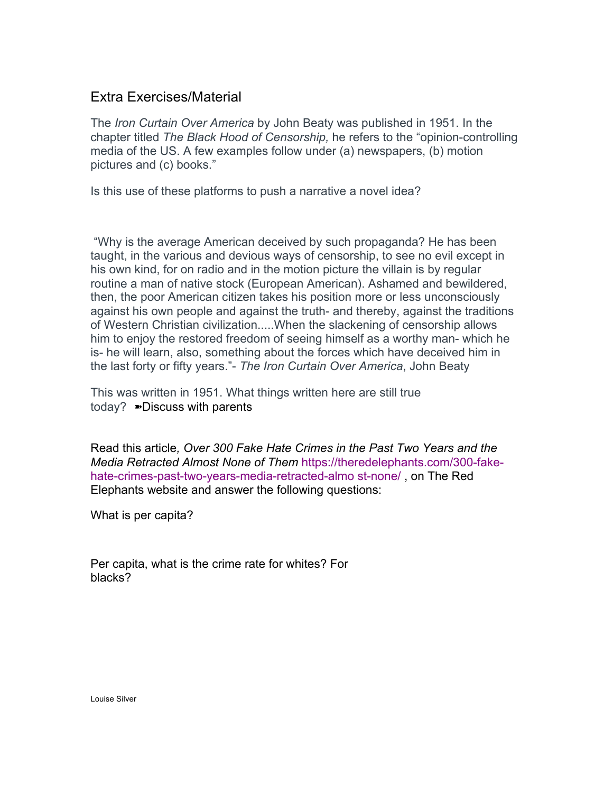## Extra Exercises/Material

The *Iron Curtain Over America* by John Beaty was published in 1951. In the chapter titled *The Black Hood of Censorship,* he refers to the "opinion-controlling media of the US. A few examples follow under (a) newspapers, (b) motion pictures and (c) books."

Is this use of these platforms to push a narrative a novel idea?

"Why is the average American deceived by such propaganda? He has been taught, in the various and devious ways of censorship, to see no evil except in his own kind, for on radio and in the motion picture the villain is by regular routine a man of native stock (European American). Ashamed and bewildered, then, the poor American citizen takes his position more or less unconsciously against his own people and against the truth- and thereby, against the traditions of Western Christian civilization.....When the slackening of censorship allows him to enjoy the restored freedom of seeing himself as a worthy man- which he is- he will learn, also, something about the forces which have deceived him in the last forty or fifty years."- *The Iron Curtain Over America*, John Beaty

This was written in 1951. What things written here are still true today? ➽Discuss with parents

Read this article*, Over 300 Fake Hate Crimes in the Past Two Years and the Media Retracted Almost None of Them* https://theredelephants.com/300-fakehate-crimes-past-two-years-media-retracted-almo st-none/ , on The Red Elephants website and answer the following questions:

What is per capita?

Per capita, what is the crime rate for whites? For blacks?